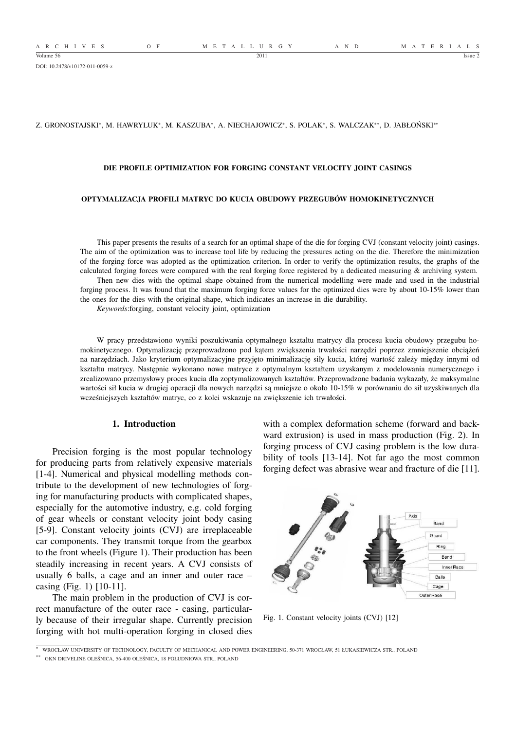A R C H I V E S O F M E T A L L U R G Y A N D M A T E R I A L S

DOI: 10.2478/v10172-011-0059-z

### Z. GRONOSTAJSKI\*, M. HAWRYLUK\*, M. KASZUBA\*, A. NIECHAJOWICZ\*, S. POLAK\*, S. WALCZAK\*\*, D. JABŁOŃSKI\*\*

### **DIE PROFILE OPTIMIZATION FOR FORGING CONSTANT VELOCITY JOINT CASINGS**

### **OPTYMALIZACJA PROFILI MATRYC DO KUCIA OBUDOWY PRZEGUBÓW HOMOKINETYCZNYCH**

This paper presents the results of a search for an optimal shape of the die for forging CVJ (constant velocity joint) casings. The aim of the optimization was to increase tool life by reducing the pressures acting on the die. Therefore the minimization of the forging force was adopted as the optimization criterion. In order to verify the optimization results, the graphs of the calculated forging forces were compared with the real forging force registered by a dedicated measuring & archiving system.

Then new dies with the optimal shape obtained from the numerical modelling were made and used in the industrial forging process. It was found that the maximum forging force values for the optimized dies were by about 10-15% lower than the ones for the dies with the original shape, which indicates an increase in die durability.

*Keywords*:forging, constant velocity joint, optimization

W pracy przedstawiono wyniki poszukiwania optymalnego kształtu matrycy dla procesu kucia obudowy przegubu homokinetycznego. Optymalizację przeprowadzono pod kątem zwiększenia trwałości narzędzi poprzez zmniejszenie obciążeń na narzędziach. Jako kryterium optymalizacyjne przyjęto minimalizację siły kucia, której wartość zależy między innymi od kształtu matrycy. Następnie wykonano nowe matryce z optymalnym kształtem uzyskanym z modelowania numerycznego i zrealizowano przemysłowy proces kucia dla zoptymalizowanych kształtów. Przeprowadzone badania wykazały, że maksymalne wartości sił kucia w drugiej operacji dla nowych narzędzi są mniejsze o około 10-15% w porównaniu do sił uzyskiwanych dla wcześniejszych kształtów matryc, co z kolei wskazuje na zwiększenie ich trwałości.

# **1. Introduction**

Precision forging is the most popular technology for producing parts from relatively expensive materials [1-4]. Numerical and physical modelling methods contribute to the development of new technologies of forging for manufacturing products with complicated shapes, especially for the automotive industry, e.g. cold forging of gear wheels or constant velocity joint body casing [5-9]. Constant velocity joints (CVJ) are irreplaceable car components. They transmit torque from the gearbox to the front wheels (Figure 1). Their production has been steadily increasing in recent years. A CVJ consists of usually 6 balls, a cage and an inner and outer race – casing (Fig. 1) [10-11].

The main problem in the production of CVJ is correct manufacture of the outer race - casing, particularly because of their irregular shape. Currently precision forging with hot multi-operation forging in closed dies

with a complex deformation scheme (forward and backward extrusion) is used in mass production (Fig. 2). In forging process of CVJ casing problem is the low durability of tools [13-14]. Not far ago the most common forging defect was abrasive wear and fracture of die [11].



Fig. 1. Constant velocity joints (CVJ) [12]

<sup>∗</sup> WROCŁAW UNIVERSITY OF TECHNOLOGY, FACULTY OF MECHANICAL AND POWER ENGINEERING, 50-371 WROCŁAW, 51 ŁUKASIEWICZA STR., POLAND

<sup>∗∗</sup> GKN DRIVELINE OLEŚNICA, 56-400 OLEŚNICA, 18 POŁUDNIOWA STR., POLAND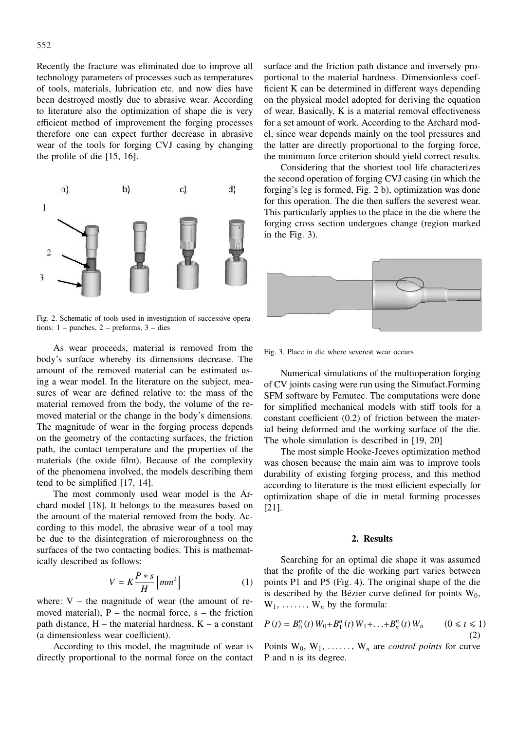Recently the fracture was eliminated due to improve all technology parameters of processes such as temperatures of tools, materials, lubrication etc. and now dies have been destroyed mostly due to abrasive wear. According to literature also the optimization of shape die is very efficient method of improvement the forging processes therefore one can expect further decrease in abrasive wear of the tools for forging CVJ casing by changing the profile of die [15, 16].



Fig. 2. Schematic of tools used in investigation of successive operations: 1 – punches, 2 – preforms, 3 – dies

As wear proceeds, material is removed from the body's surface whereby its dimensions decrease. The amount of the removed material can be estimated using a wear model. In the literature on the subject, measures of wear are defined relative to: the mass of the material removed from the body, the volume of the removed material or the change in the body's dimensions. The magnitude of wear in the forging process depends on the geometry of the contacting surfaces, the friction path, the contact temperature and the properties of the materials (the oxide film). Because of the complexity of the phenomena involved, the models describing them tend to be simplified [17, 14].

The most commonly used wear model is the Archard model [18]. It belongs to the measures based on the amount of the material removed from the body. According to this model, the abrasive wear of a tool may be due to the disintegration of microroughness on the surfaces of the two contacting bodies. This is mathematically described as follows:

$$
V = K \frac{P * s}{H} \left[ mm^2 \right] \tag{1}
$$

where:  $V -$  the magnitude of wear (the amount of removed material),  $P -$  the normal force,  $s -$  the friction path distance,  $H$  – the material hardness,  $K$  – a constant (a dimensionless wear coefficient).

According to this model, the magnitude of wear is directly proportional to the normal force on the contact surface and the friction path distance and inversely proportional to the material hardness. Dimensionless coefficient K can be determined in different ways depending on the physical model adopted for deriving the equation of wear. Basically, K is a material removal effectiveness for a set amount of work. According to the Archard model, since wear depends mainly on the tool pressures and the latter are directly proportional to the forging force, the minimum force criterion should yield correct results.

Considering that the shortest tool life characterizes the second operation of forging CVJ casing (in which the forging's leg is formed, Fig. 2 b), optimization was done for this operation. The die then suffers the severest wear. This particularly applies to the place in the die where the forging cross section undergoes change (region marked in the Fig. 3).



Fig. 3. Place in die where severest wear occurs

Numerical simulations of the multioperation forging of CV joints casing were run using the Simufact.Forming SFM software by Femutec. The computations were done for simplified mechanical models with stiff tools for a constant coefficient (0.2) of friction between the material being deformed and the working surface of the die. The whole simulation is described in [19, 20]

The most simple Hooke-Jeeves optimization method was chosen because the main aim was to improve tools durability of existing forging process, and this method according to literature is the most efficient especially for optimization shape of die in metal forming processes [21].

## **2. Results**

Searching for an optimal die shape it was assumed that the profile of the die working part varies between points P1 and P5 (Fig. 4). The original shape of the die is described by the Bézier curve defined for points  $W_0$ ,  $W_1, \ldots, W_n$  by the formula:

$$
P(t) = B_0^n(t) W_0 + B_1^n(t) W_1 + \dots + B_n^n(t) W_n \qquad (0 \le t \le 1)
$$
\n(2)

Points  $W_0, W_1, \ldots, W_n$  are *control points* for curve P and n is its degree.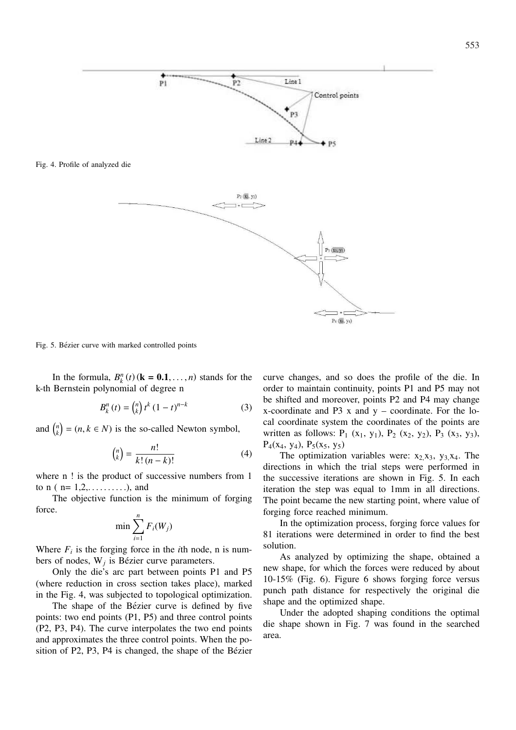Fig. 4. Profile of analyzed die



Fig. 5. Bézier curve with marked controlled points

In the formula,  $B_k^n(t)$  ( $\mathbf{k} = 0.1, \ldots, n$ ) stands for the k-th Bernstein polynomial of degree n

$$
B_{k}^{n}(t) = {n \choose k} t^{k} (1-t)^{n-k}
$$
 (3)

and  $\binom{n}{k}$  $\overline{a}$  $=(n, k \in N)$  is the so-called Newton symbol,

$$
\binom{n}{k} = \frac{n!}{k!(n-k)!} \tag{4}
$$

where n ! is the product of successive numbers from 1 to  $n ( n = 1, 2, \ldots, n)$ , and

The objective function is the minimum of forging force.

$$
\min \sum_{i=1}^n F_i(W_j)
$$

Where  $F_i$  is the forging force in the *i*th node, n is numbers of nodes,  $W_j$  is Bézier curve parameters.

Only the die's arc part between points P1 and P5 (where reduction in cross section takes place), marked in the Fig. 4, was subjected to topological optimization.

The shape of the Bézier curve is defined by five points: two end points (P1, P5) and three control points (P2, P3, P4). The curve interpolates the two end points and approximates the three control points. When the position of P2, P3, P4 is changed, the shape of the Bézier curve changes, and so does the profile of the die. In order to maintain continuity, points P1 and P5 may not be shifted and moreover, points P2 and P4 may change x-coordinate and  $P3$  x and y – coordinate. For the local coordinate system the coordinates of the points are written as follows:  $P_1$  (x<sub>1</sub>, y<sub>1</sub>),  $P_2$  (x<sub>2</sub>, y<sub>2</sub>),  $P_3$  (x<sub>3</sub>, y<sub>3</sub>),  $P_4(x_4, y_4), P_5(x_5, y_5)$ 

The optimization variables were:  $x_2, x_3, y_3, x_4$ . The directions in which the trial steps were performed in the successive iterations are shown in Fig. 5. In each iteration the step was equal to 1mm in all directions. The point became the new starting point, where value of forging force reached minimum.

In the optimization process, forging force values for 81 iterations were determined in order to find the best solution.

As analyzed by optimizing the shape, obtained a new shape, for which the forces were reduced by about 10-15% (Fig. 6). Figure 6 shows forging force versus punch path distance for respectively the original die shape and the optimized shape.

Under the adopted shaping conditions the optimal die shape shown in Fig. 7 was found in the searched area.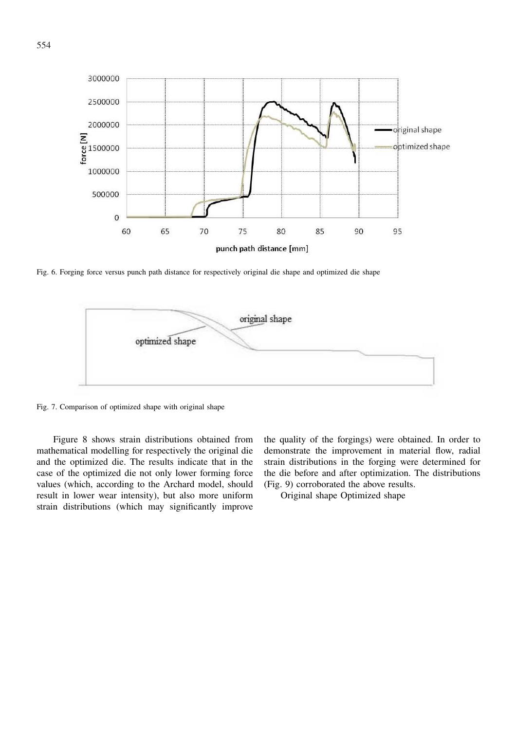

Fig. 6. Forging force versus punch path distance for respectively original die shape and optimized die shape



Fig. 7. Comparison of optimized shape with original shape

Figure 8 shows strain distributions obtained from mathematical modelling for respectively the original die and the optimized die. The results indicate that in the case of the optimized die not only lower forming force values (which, according to the Archard model, should result in lower wear intensity), but also more uniform strain distributions (which may significantly improve the quality of the forgings) were obtained. In order to demonstrate the improvement in material flow, radial strain distributions in the forging were determined for the die before and after optimization. The distributions (Fig. 9) corroborated the above results.

Original shape Optimized shape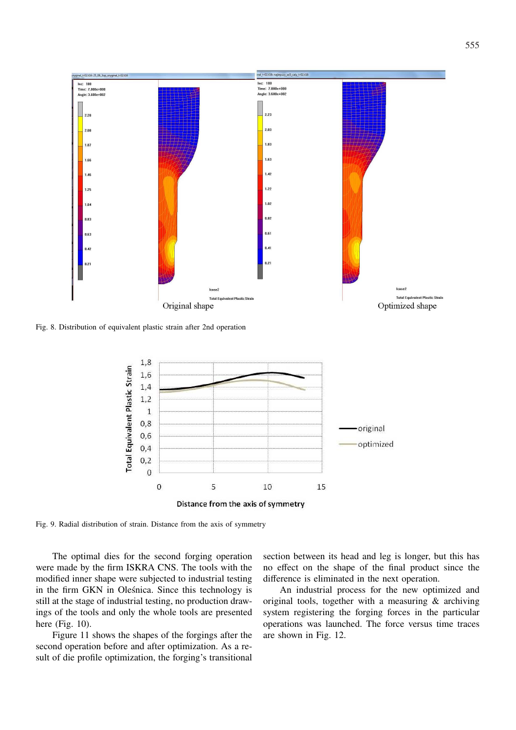

Fig. 8. Distribution of equivalent plastic strain after 2nd operation



Fig. 9. Radial distribution of strain. Distance from the axis of symmetry

The optimal dies for the second forging operation were made by the firm ISKRA CNS. The tools with the modified inner shape were subjected to industrial testing in the firm GKN in Oleśnica. Since this technology is still at the stage of industrial testing, no production drawings of the tools and only the whole tools are presented here (Fig. 10).

Figure 11 shows the shapes of the forgings after the second operation before and after optimization. As a result of die profile optimization, the forging's transitional

section between its head and leg is longer, but this has no effect on the shape of the final product since the difference is eliminated in the next operation.

An industrial process for the new optimized and original tools, together with a measuring & archiving system registering the forging forces in the particular operations was launched. The force versus time traces are shown in Fig. 12.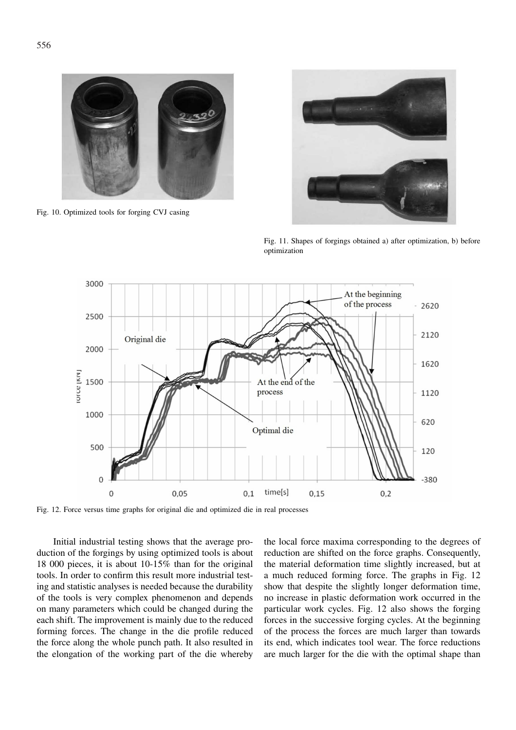

Fig. 10. Optimized tools for forging CVJ casing



Fig. 11. Shapes of forgings obtained a) after optimization, b) before optimization



Fig. 12. Force versus time graphs for original die and optimized die in real processes

Initial industrial testing shows that the average production of the forgings by using optimized tools is about 18 000 pieces, it is about 10-15% than for the original tools. In order to confirm this result more industrial testing and statistic analyses is needed because the durability of the tools is very complex phenomenon and depends on many parameters which could be changed during the each shift. The improvement is mainly due to the reduced forming forces. The change in the die profile reduced the force along the whole punch path. It also resulted in the elongation of the working part of the die whereby

the local force maxima corresponding to the degrees of reduction are shifted on the force graphs. Consequently, the material deformation time slightly increased, but at a much reduced forming force. The graphs in Fig. 12 show that despite the slightly longer deformation time, no increase in plastic deformation work occurred in the particular work cycles. Fig. 12 also shows the forging forces in the successive forging cycles. At the beginning of the process the forces are much larger than towards its end, which indicates tool wear. The force reductions are much larger for the die with the optimal shape than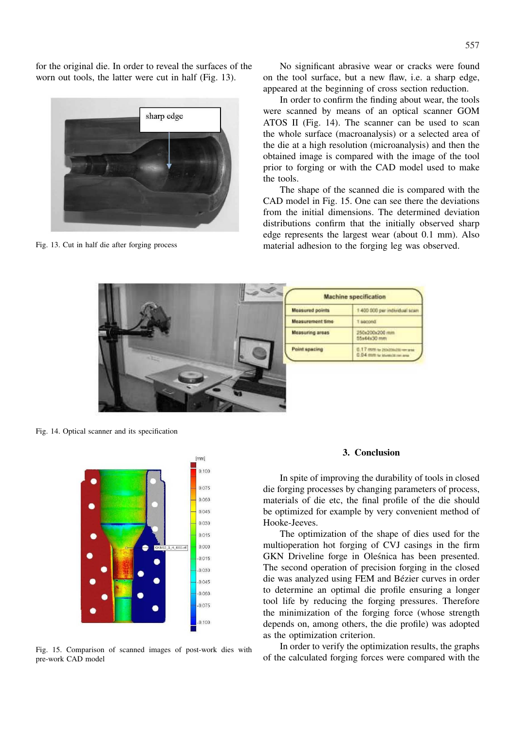for the original die. In order to reveal the surfaces of the worn out tools, the latter were cut in half (Fig. 13).



Fig. 13. Cut in half die after forging process

No significant abrasive wear or cracks were found on the tool surface, but a new flaw, i.e. a sharp edge, appeared at the beginning of cross section reduction.

In order to confirm the finding about wear, the tools were scanned by means of an optical scanner GOM ATOS II (Fig. 14). The scanner can be used to scan the whole surface (macroanalysis) or a selected area of the die at a high resolution (microanalysis) and then the obtained image is compared with the image of the tool prior to forging or with the CAD model used to make the tools.

The shape of the scanned die is compared with the CAD model in Fig. 15. One can see there the deviations from the initial dimensions. The determined deviation distributions confirm that the initially observed sharp edge represents the largest wear (about 0.1 mm). Also material adhesion to the forging leg was observed.



Fig. 14. Optical scanner and its specification



Fig. 15. Comparison of scanned images of post-work dies with pre-work CAD model

### **3. Conclusion**

In spite of improving the durability of tools in closed die forging processes by changing parameters of process, materials of die etc, the final profile of the die should be optimized for example by very convenient method of Hooke-Jeeves.

The optimization of the shape of dies used for the multioperation hot forging of CVJ casings in the firm GKN Driveline forge in Oleśnica has been presented. The second operation of precision forging in the closed die was analyzed using FEM and Bézier curves in order to determine an optimal die profile ensuring a longer tool life by reducing the forging pressures. Therefore the minimization of the forging force (whose strength depends on, among others, the die profile) was adopted as the optimization criterion.

In order to verify the optimization results, the graphs of the calculated forging forces were compared with the